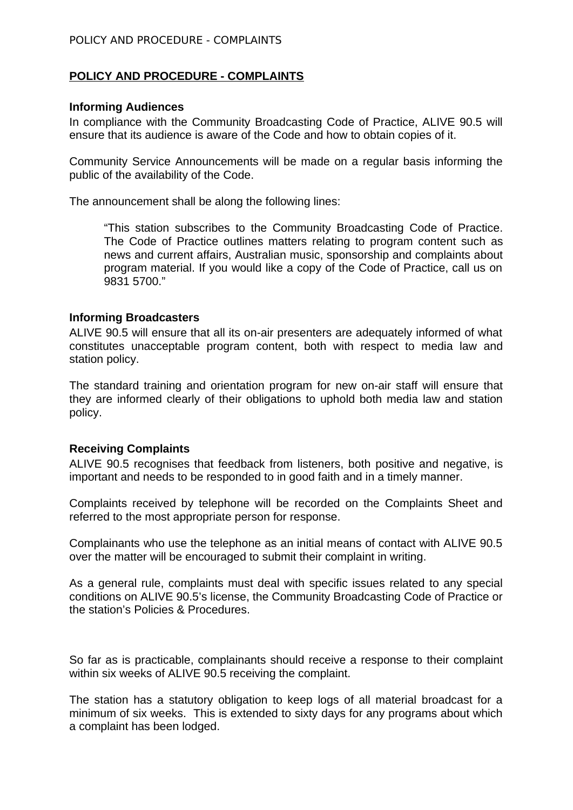# **POLICY AND PROCEDURE - COMPLAINTS**

#### **Informing Audiences**

In compliance with the Community Broadcasting Code of Practice, ALIVE 90.5 will ensure that its audience is aware of the Code and how to obtain copies of it.

Community Service Announcements will be made on a regular basis informing the public of the availability of the Code.

The announcement shall be along the following lines:

"This station subscribes to the Community Broadcasting Code of Practice. The Code of Practice outlines matters relating to program content such as news and current affairs, Australian music, sponsorship and complaints about program material. If you would like a copy of the Code of Practice, call us on 9831 5700."

#### **Informing Broadcasters**

ALIVE 90.5 will ensure that all its on-air presenters are adequately informed of what constitutes unacceptable program content, both with respect to media law and station policy.

The standard training and orientation program for new on-air staff will ensure that they are informed clearly of their obligations to uphold both media law and station policy.

### **Receiving Complaints**

ALIVE 90.5 recognises that feedback from listeners, both positive and negative, is important and needs to be responded to in good faith and in a timely manner.

Complaints received by telephone will be recorded on the Complaints Sheet and referred to the most appropriate person for response.

Complainants who use the telephone as an initial means of contact with ALIVE 90.5 over the matter will be encouraged to submit their complaint in writing.

As a general rule, complaints must deal with specific issues related to any special conditions on ALIVE 90.5's license, the Community Broadcasting Code of Practice or the station's Policies & Procedures.

So far as is practicable, complainants should receive a response to their complaint within six weeks of ALIVE 90.5 receiving the complaint.

The station has a statutory obligation to keep logs of all material broadcast for a minimum of six weeks. This is extended to sixty days for any programs about which a complaint has been lodged.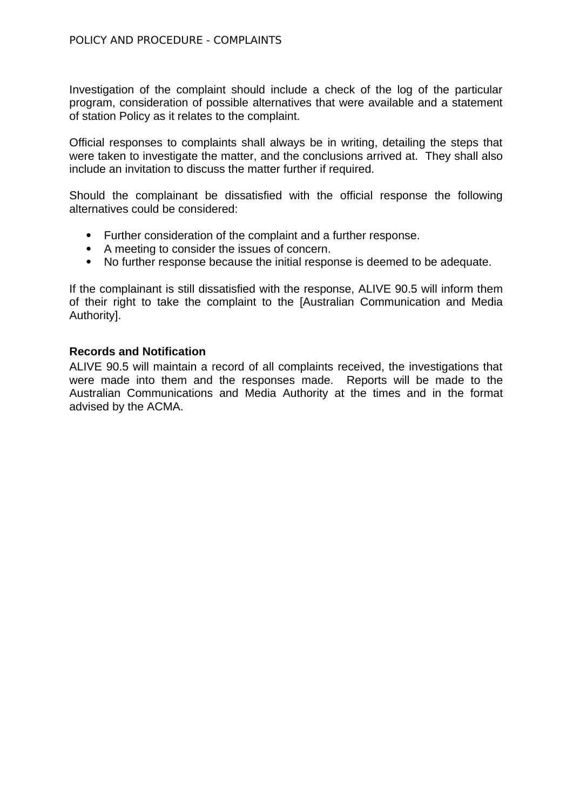Investigation of the complaint should include a check of the log of the particular program, consideration of possible alternatives that were available and a statement of station Policy as it relates to the complaint.

Official responses to complaints shall always be in writing, detailing the steps that were taken to investigate the matter, and the conclusions arrived at. They shall also include an invitation to discuss the matter further if required.

Should the complainant be dissatisfied with the official response the following alternatives could be considered:

- Further consideration of the complaint and a further response.
- A meeting to consider the issues of concern.
- No further response because the initial response is deemed to be adequate.

If the complainant is still dissatisfied with the response, ALIVE 90.5 will inform them of their right to take the complaint to the [Australian Communication and Media Authority].

### **Records and Notification**

ALIVE 90.5 will maintain a record of all complaints received, the investigations that were made into them and the responses made. Reports will be made to the Australian Communications and Media Authority at the times and in the format advised by the ACMA.